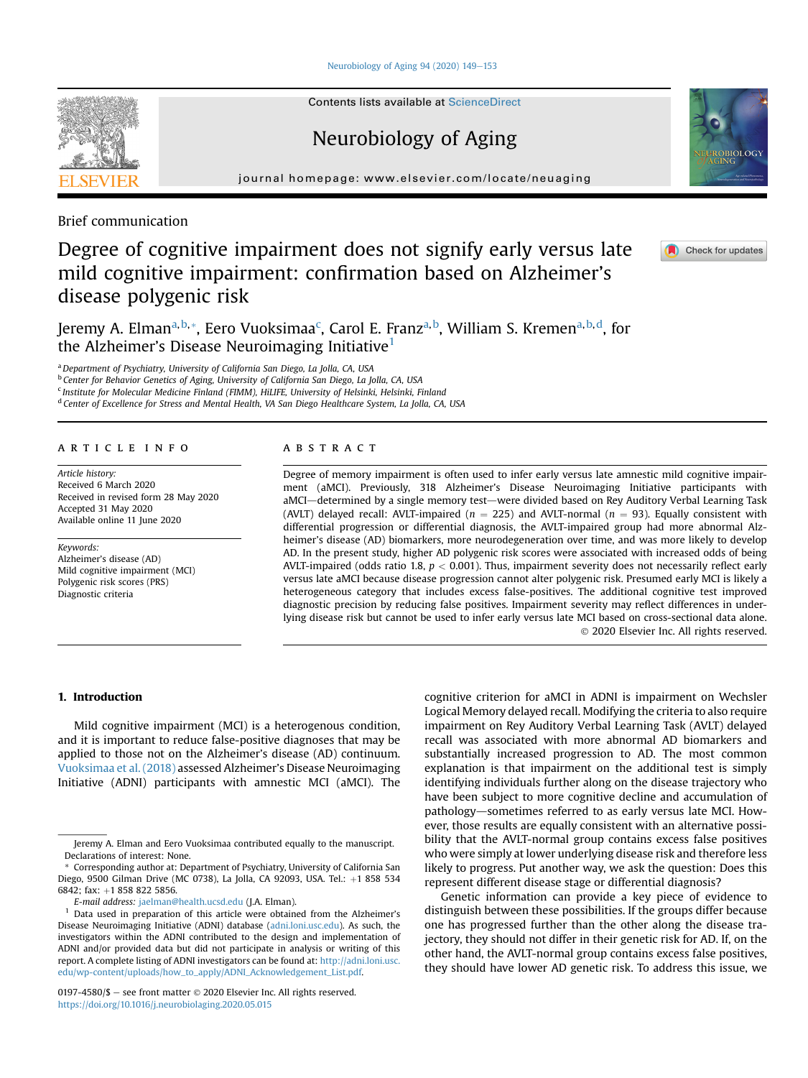[Neurobiology of Aging 94 \(2020\) 149](https://doi.org/10.1016/j.neurobiolaging.2020.05.015)-[153](https://doi.org/10.1016/j.neurobiolaging.2020.05.015)

Contents lists available at ScienceDirect

# Neurobiology of Aging

journal homepage: [www.elsevier.com/locate/neuaging](http://www.elsevier.com/locate/neuaging)

Brief communication

# Degree of cognitive impairment does not signify early versus late mild cognitive impairment: confirmation based on Alzheimer's disease polygenic risk

Jeremy A. Elm[a](#page-0-0)n<sup>a,[b,](#page-0-1)</sup>[\\*](#page-0-2), Eero Vuoksimaa<sup>c</sup>, Carol E. Franz<sup>a,[b](#page-0-1)</sup>, William S. Kremen<sup>a,b,[d](#page-0-4)</sup>, for the Alzheimer's Disease Neuroimaging Initiative $<sup>1</sup>$  $<sup>1</sup>$  $<sup>1</sup>$ </sup>

<span id="page-0-0"></span><sup>a</sup> Department of Psychiatry, University of California San Diego, La Jolla, CA, USA

<span id="page-0-1"></span><sup>b</sup> Center for Behavior Genetics of Aging, University of California San Diego, La Jolla, CA, USA

<span id="page-0-3"></span><sup>c</sup> Institute for Molecular Medicine Finland (FIMM), HiLIFE, University of Helsinki, Helsinki, Finland

<span id="page-0-4"></span><sup>d</sup> Center of Excellence for Stress and Mental Health, VA San Diego Healthcare System, La Jolla, CA, USA

## article info

Article history: Received 6 March 2020 Received in revised form 28 May 2020 Accepted 31 May 2020 Available online 11 June 2020

Keywords: Alzheimer's disease (AD) Mild cognitive impairment (MCI) Polygenic risk scores (PRS) Diagnostic criteria

# ABSTRACT

Degree of memory impairment is often used to infer early versus late amnestic mild cognitive impairment (aMCI). Previously, 318 Alzheimer's Disease Neuroimaging Initiative participants with aMCI-determined by a single memory test-were divided based on Rey Auditory Verbal Learning Task (AVLT) delayed recall: AVLT-impaired ( $n = 225$ ) and AVLT-normal ( $n = 93$ ). Equally consistent with differential progression or differential diagnosis, the AVLT-impaired group had more abnormal Alzheimer's disease (AD) biomarkers, more neurodegeneration over time, and was more likely to develop AD. In the present study, higher AD polygenic risk scores were associated with increased odds of being AVLT-impaired (odds ratio 1.8,  $p < 0.001$ ). Thus, impairment severity does not necessarily reflect early versus late aMCI because disease progression cannot alter polygenic risk. Presumed early MCI is likely a heterogeneous category that includes excess false-positives. The additional cognitive test improved diagnostic precision by reducing false positives. Impairment severity may reflect differences in underlying disease risk but cannot be used to infer early versus late MCI based on cross-sectional data alone. 2020 Elsevier Inc. All rights reserved.

## 1. Introduction

Mild cognitive impairment (MCI) is a heterogenous condition, and it is important to reduce false-positive diagnoses that may be applied to those not on the Alzheimer's disease (AD) continuum. [Vuoksimaa et al. \(2018\)](#page-4-0) assessed Alzheimer's Disease Neuroimaging Initiative (ADNI) participants with amnestic MCI (aMCI). The

cognitive criterion for aMCI in ADNI is impairment on Wechsler Logical Memory delayed recall. Modifying the criteria to also require impairment on Rey Auditory Verbal Learning Task (AVLT) delayed recall was associated with more abnormal AD biomarkers and substantially increased progression to AD. The most common explanation is that impairment on the additional test is simply identifying individuals further along on the disease trajectory who have been subject to more cognitive decline and accumulation of pathology—sometimes referred to as early versus late MCI. However, those results are equally consistent with an alternative possibility that the AVLT-normal group contains excess false positives who were simply at lower underlying disease risk and therefore less likely to progress. Put another way, we ask the question: Does this represent different disease stage or differential diagnosis?

Genetic information can provide a key piece of evidence to distinguish between these possibilities. If the groups differ because one has progressed further than the other along the disease trajectory, they should not differ in their genetic risk for AD. If, on the other hand, the AVLT-normal group contains excess false positives, they should have lower AD genetic risk. To address this issue, we







Jeremy A. Elman and Eero Vuoksimaa contributed equally to the manuscript. Declarations of interest: None.

<span id="page-0-2"></span>Corresponding author at: Department of Psychiatry, University of California San Diego, 9500 Gilman Drive (MC 0738), La Jolla, CA 92093, USA. Tel.: +1 858 534 6842; fax: +1 858 822 5856.

E-mail address: [jaelman@health.ucsd.edu](mailto:jaelman@health.ucsd.edu) (J.A. Elman).

<span id="page-0-5"></span><sup>1</sup> Data used in preparation of this article were obtained from the Alzheimer's Disease Neuroimaging Initiative (ADNI) database ([adni.loni.usc.edu](http://adni.loni.usc.edu)). As such, the investigators within the ADNI contributed to the design and implementation of ADNI and/or provided data but did not participate in analysis or writing of this report. A complete listing of ADNI investigators can be found at: [http://adni.loni.usc.](http://adni.loni.usc.edu/wp-content/uploads/how_to_apply/ADNI_Acknowledgement_List.pdf) [edu/wp-content/uploads/how\\_to\\_apply/ADNI\\_Acknowledgement\\_List.pdf.](http://adni.loni.usc.edu/wp-content/uploads/how_to_apply/ADNI_Acknowledgement_List.pdf)

<sup>0197-4580/\$ -</sup> see front matter  $\odot$  2020 Elsevier Inc. All rights reserved. <https://doi.org/10.1016/j.neurobiolaging.2020.05.015>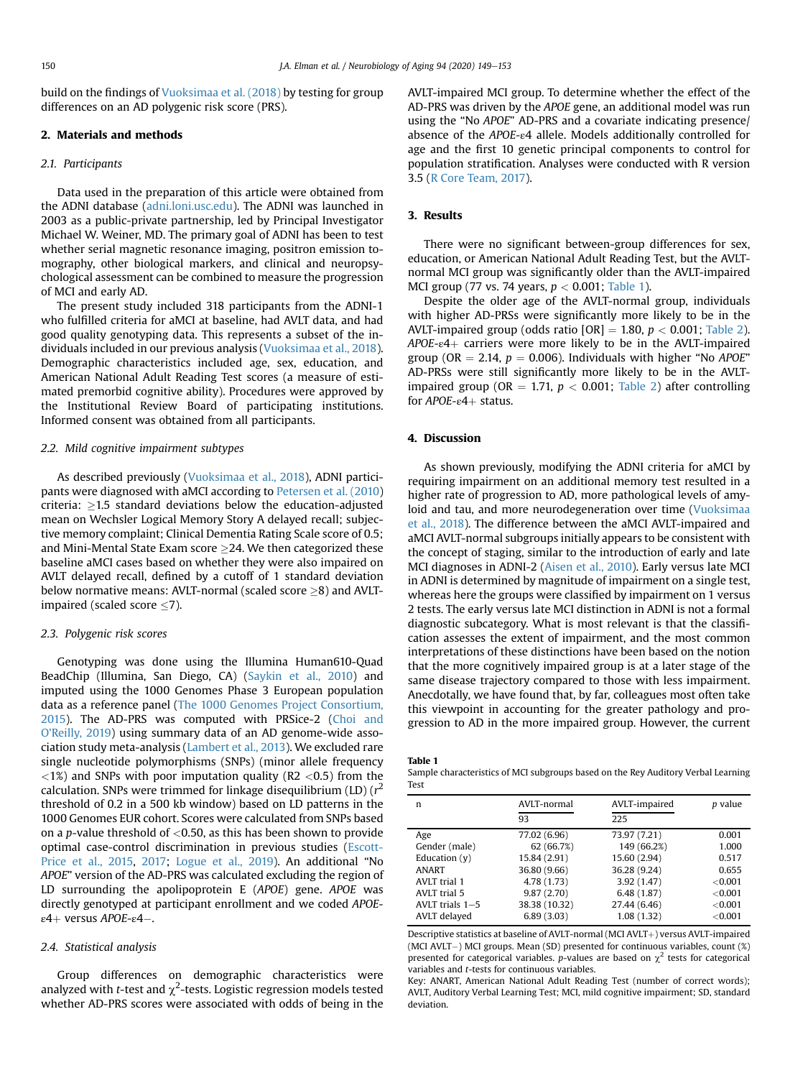build on the findings of [Vuoksimaa et al. \(2018\)](#page-4-0) by testing for group differences on an AD polygenic risk score (PRS).

## 2. Materials and methods

#### 2.1. Participants

Data used in the preparation of this article were obtained from the ADNI database ([adni.loni.usc.edu](http://adni.loni.usc.edu)). The ADNI was launched in 2003 as a public-private partnership, led by Principal Investigator Michael W. Weiner, MD. The primary goal of ADNI has been to test whether serial magnetic resonance imaging, positron emission tomography, other biological markers, and clinical and neuropsychological assessment can be combined to measure the progression of MCI and early AD.

The present study included 318 participants from the ADNI-1 who fulfilled criteria for aMCI at baseline, had AVLT data, and had good quality genotyping data. This represents a subset of the individuals included in our previous analysis ([Vuoksimaa et al., 2018\)](#page-4-0). Demographic characteristics included age, sex, education, and American National Adult Reading Test scores (a measure of estimated premorbid cognitive ability). Procedures were approved by the Institutional Review Board of participating institutions. Informed consent was obtained from all participants.

### 2.2. Mild cognitive impairment subtypes

As described previously [\(Vuoksimaa et al., 2018](#page-4-0)), ADNI participants were diagnosed with aMCI according to [Petersen et al. \(2010\)](#page-4-1) criteria:  $\geq$ 1.5 standard deviations below the education-adjusted mean on Wechsler Logical Memory Story A delayed recall; subjective memory complaint; Clinical Dementia Rating Scale score of 0.5; and Mini-Mental State Exam score  ${\geq}24.$  We then categorized these baseline aMCI cases based on whether they were also impaired on AVLT delayed recall, defined by a cutoff of 1 standard deviation below normative means: AVLT-normal (scaled score  $\geq$ 8) and AVLTimpaired (scaled score  $\leq$ 7).

### 2.3. Polygenic risk scores

Genotyping was done using the Illumina Human610-Quad BeadChip (Illumina, San Diego, CA) [\(Saykin et al., 2010](#page-4-2)) and imputed using the 1000 Genomes Phase 3 European population data as a reference panel ([The 1000 Genomes Project Consortium,](#page-4-3) [2015](#page-4-3)). The AD-PRS was computed with PRSice-2 ([Choi and](#page-4-4) [O'Reilly, 2019\)](#page-4-4) using summary data of an AD genome-wide association study meta-analysis [\(Lambert et al., 2013\)](#page-4-5). We excluded rare single nucleotide polymorphisms (SNPs) (minor allele frequency  $\langle 1 \rangle$  and SNPs with poor imputation quality (R2  $\langle 0.5 \rangle$ ) from the calculation. SNPs were trimmed for linkage disequilibrium (LD) ( $r^2$ threshold of 0.2 in a 500 kb window) based on LD patterns in the 1000 Genomes EUR cohort. Scores were calculated from SNPs based on a *p*-value threshold of  $<$ 0.50, as this has been shown to provide optimal case-control discrimination in previous studies ([Escott-](#page-4-6)[Price et al., 2015,](#page-4-6) [2017](#page-4-7); [Logue et al., 2019\)](#page-4-8). An additional "No APOE" version of the AD-PRS was calculated excluding the region of LD surrounding the apolipoprotein E (APOE) gene. APOE was directly genotyped at participant enrollment and we coded APOEε4+ versus APOE-ε4-.

#### 2.4. Statistical analysis

Group differences on demographic characteristics were analyzed with t-test and  $\chi^2$ -tests. Logistic regression models tested whether AD-PRS scores were associated with odds of being in the AVLT-impaired MCI group. To determine whether the effect of the AD-PRS was driven by the APOE gene, an additional model was run using the "No APOE" AD-PRS and a covariate indicating presence/ absence of the APOE-ε4 allele. Models additionally controlled for age and the first 10 genetic principal components to control for population stratification. Analyses were conducted with R version 3.5 ([R Core Team, 2017](#page-4-9)).

# 3. Results

There were no significant between-group differences for sex, education, or American National Adult Reading Test, but the AVLTnormal MCI group was significantly older than the AVLT-impaired MCI group (77 vs. 74 years,  $p < 0.001$ ; [Table 1](#page-1-0)).

Despite the older age of the AVLT-normal group, individuals with higher AD-PRSs were significantly more likely to be in the AVLT-impaired group (odds ratio  $[OR] = 1.80$ ,  $p < 0.001$ ; [Table 2\)](#page-2-0).  $APOE$ - $\varepsilon$ 4+ carriers were more likely to be in the AVLT-impaired group (OR = 2.14,  $p = 0.006$ ). Individuals with higher "No APOE" AD-PRSs were still significantly more likely to be in the AVLTimpaired group (OR = 1.71,  $p < 0.001$ ; [Table 2\)](#page-2-0) after controlling for  $APOE - \varepsilon 4+$  status.

### 4. Discussion

As shown previously, modifying the ADNI criteria for aMCI by requiring impairment on an additional memory test resulted in a higher rate of progression to AD, more pathological levels of amyloid and tau, and more neurodegeneration over time ([Vuoksimaa](#page-4-0) [et al., 2018](#page-4-0)). The difference between the aMCI AVLT-impaired and aMCI AVLT-normal subgroups initially appears to be consistent with the concept of staging, similar to the introduction of early and late MCI diagnoses in ADNI-2 [\(Aisen et al., 2010\)](#page-3-0). Early versus late MCI in ADNI is determined by magnitude of impairment on a single test, whereas here the groups were classified by impairment on 1 versus 2 tests. The early versus late MCI distinction in ADNI is not a formal diagnostic subcategory. What is most relevant is that the classification assesses the extent of impairment, and the most common interpretations of these distinctions have been based on the notion that the more cognitively impaired group is at a later stage of the same disease trajectory compared to those with less impairment. Anecdotally, we have found that, by far, colleagues most often take this viewpoint in accounting for the greater pathology and progression to AD in the more impaired group. However, the current

<span id="page-1-0"></span>Table 1

Sample characteristics of MCI subgroups based on the Rey Auditory Verbal Learning Test

| n                   | AVLT-normal   | AVLT-impaired | p value |
|---------------------|---------------|---------------|---------|
|                     | 93            | 225           |         |
| Age                 | 77.02 (6.96)  | 73.97 (7.21)  | 0.001   |
| Gender (male)       | 62 (66.7%)    | 149 (66.2%)   | 1.000   |
| Education $(y)$     | 15.84 (2.91)  | 15.60 (2.94)  | 0.517   |
| <b>ANART</b>        | 36.80 (9.66)  | 36.28 (9.24)  | 0.655   |
| <b>AVLT</b> trial 1 | 4.78 (1.73)   | 3.92(1.47)    | < 0.001 |
| <b>AVLT</b> trial 5 | 9.87(2.70)    | 6.48(1.87)    | < 0.001 |
| AVLT trials $1-5$   | 38.38 (10.32) | 27.44 (6.46)  | < 0.001 |
| AVLT delayed        | 6.89(3.03)    | 1.08(1.32)    | < 0.001 |

Descriptive statistics at baseline of AVLT-normal (MCI AVLT+) versus AVLT-impaired (MCI AVLT-) MCI groups. Mean (SD) presented for continuous variables, count (%) presented for categorical variables. p-values are based on  $\chi^2$  tests for categorical variables and t-tests for continuous variables.

Key: ANART, American National Adult Reading Test (number of correct words); AVLT, Auditory Verbal Learning Test; MCI, mild cognitive impairment; SD, standard deviation.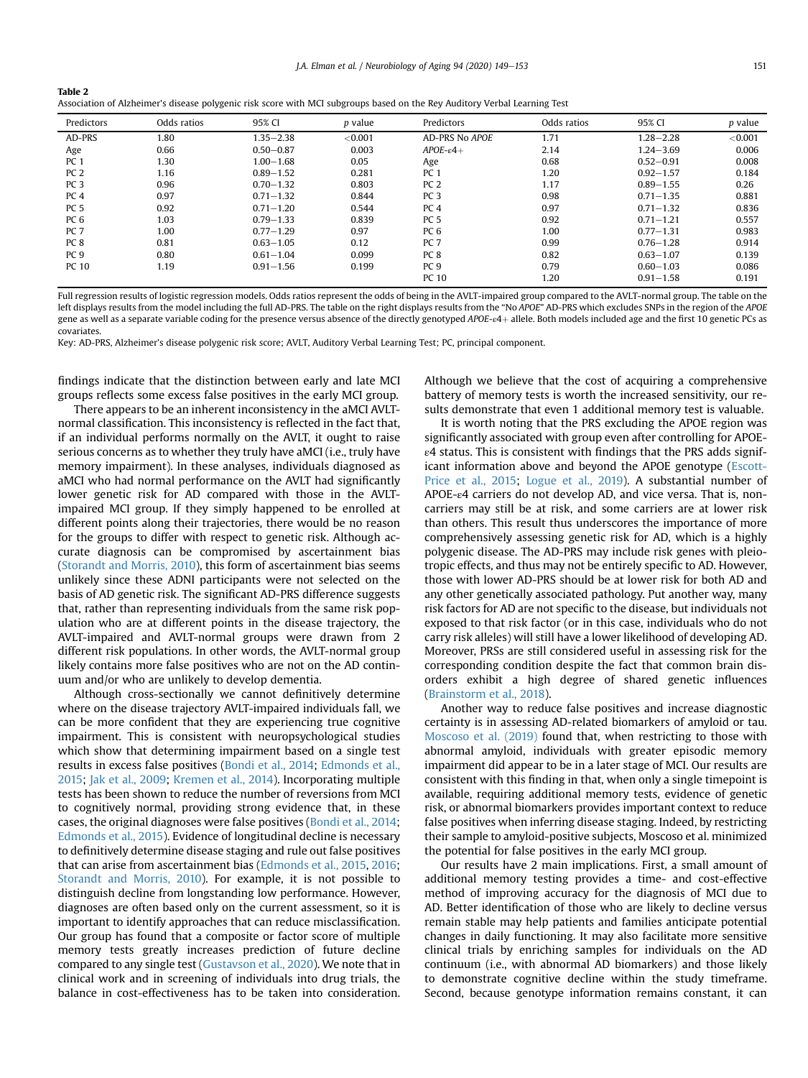| Table 2<br>Association of Alzheimer's disease polygenic risk score with MCI subgroups based on the Rey Auditory Verbal Learning Test |            |             |         |                |                       |             |  |  |  |
|--------------------------------------------------------------------------------------------------------------------------------------|------------|-------------|---------|----------------|-----------------------|-------------|--|--|--|
|                                                                                                                                      | Predictors | Odds ratios | 95% CI  | <i>p</i> value | Predictors            | Odds ratios |  |  |  |
|                                                                                                                                      | AD DDC     | ൦൨          | 0כר סכו | $\sim$ 0.01    | $AD$ DDC $N_A$ $ADOE$ |             |  |  |  |

| Predictors      | Odds ratios | 95% CI        | <i>p</i> value | Predictors              | Odds ratios | 95% CI        | <i>p</i> value |
|-----------------|-------------|---------------|----------------|-------------------------|-------------|---------------|----------------|
| AD-PRS          | 1.80        | $1.35 - 2.38$ | < 0.001        | <b>AD-PRS No APOE</b>   | 1.71        | $1.28 - 2.28$ | < 0.001        |
| Age             | 0.66        | $0.50 - 0.87$ | 0.003          | $APOE - \varepsilon 4+$ | 2.14        | $1.24 - 3.69$ | 0.006          |
| PC <sub>1</sub> | 1.30        | $1.00 - 1.68$ | 0.05           | Age                     | 0.68        | $0.52 - 0.91$ | 0.008          |
| PC <sub>2</sub> | 1.16        | $0.89 - 1.52$ | 0.281          | PC <sub>1</sub>         | 1.20        | $0.92 - 1.57$ | 0.184          |
| PC <sub>3</sub> | 0.96        | $0.70 - 1.32$ | 0.803          | PC <sub>2</sub>         | 1.17        | $0.89 - 1.55$ | 0.26           |
| PC <sub>4</sub> | 0.97        | $0.71 - 1.32$ | 0.844          | PC <sub>3</sub>         | 0.98        | $0.71 - 1.35$ | 0.881          |
| PC <sub>5</sub> | 0.92        | $0.71 - 1.20$ | 0.544          | PC <sub>4</sub>         | 0.97        | $0.71 - 1.32$ | 0.836          |
| PC <sub>6</sub> | 1.03        | $0.79 - 1.33$ | 0.839          | PC <sub>5</sub>         | 0.92        | $0.71 - 1.21$ | 0.557          |
| PC <sub>7</sub> | 1.00        | $0.77 - 1.29$ | 0.97           | PC <sub>6</sub>         | 1.00        | $0.77 - 1.31$ | 0.983          |
| PC <sub>8</sub> | 0.81        | $0.63 - 1.05$ | 0.12           | PC <sub>7</sub>         | 0.99        | $0.76 - 1.28$ | 0.914          |
| PC 9            | 0.80        | $0.61 - 1.04$ | 0.099          | PC 8                    | 0.82        | $0.63 - 1.07$ | 0.139          |
| PC 10           | 1.19        | $0.91 - 1.56$ | 0.199          | PC <sub>9</sub>         | 0.79        | $0.60 - 1.03$ | 0.086          |
|                 |             |               |                | PC 10                   | 1.20        | $0.91 - 1.58$ | 0.191          |

Full regression results of logistic regression models. Odds ratios represent the odds of being in the AVLT-impaired group compared to the AVLT-normal group. The table on the left displays results from the model including the full AD-PRS. The table on the right displays results from the "No APOE" AD-PRS which excludes SNPs in the region of the APOE gene as well as a separate variable coding for the presence versus absence of the directly genotyped APOE-e4+ allele. Both models included age and the first 10 genetic PCs as covariates.

Key: AD-PRS, Alzheimer's disease polygenic risk score; AVLT, Auditory Verbal Learning Test; PC, principal component.

findings indicate that the distinction between early and late MCI groups reflects some excess false positives in the early MCI group.

<span id="page-2-0"></span> $\equiv$  22.22

There appears to be an inherent inconsistency in the aMCI AVLTnormal classification. This inconsistency is reflected in the fact that, if an individual performs normally on the AVLT, it ought to raise serious concerns as to whether they truly have aMCI (i.e., truly have memory impairment). In these analyses, individuals diagnosed as aMCI who had normal performance on the AVLT had significantly lower genetic risk for AD compared with those in the AVLTimpaired MCI group. If they simply happened to be enrolled at different points along their trajectories, there would be no reason for the groups to differ with respect to genetic risk. Although accurate diagnosis can be compromised by ascertainment bias ([Storandt and Morris, 2010\)](#page-4-10), this form of ascertainment bias seems unlikely since these ADNI participants were not selected on the basis of AD genetic risk. The significant AD-PRS difference suggests that, rather than representing individuals from the same risk population who are at different points in the disease trajectory, the AVLT-impaired and AVLT-normal groups were drawn from 2 different risk populations. In other words, the AVLT-normal group likely contains more false positives who are not on the AD continuum and/or who are unlikely to develop dementia.

Although cross-sectionally we cannot definitively determine where on the disease trajectory AVLT-impaired individuals fall, we can be more confident that they are experiencing true cognitive impairment. This is consistent with neuropsychological studies which show that determining impairment based on a single test results in excess false positives [\(Bondi et al., 2014;](#page-3-1) [Edmonds et al.,](#page-4-11) [2015;](#page-4-11) [Jak et al., 2009](#page-4-12); [Kremen et al., 2014\)](#page-4-13). Incorporating multiple tests has been shown to reduce the number of reversions from MCI to cognitively normal, providing strong evidence that, in these cases, the original diagnoses were false positives ([Bondi et al., 2014](#page-3-1); [Edmonds et al., 2015\)](#page-4-11). Evidence of longitudinal decline is necessary to definitively determine disease staging and rule out false positives that can arise from ascertainment bias ([Edmonds et al., 2015](#page-4-11), [2016](#page-4-14); [Storandt and Morris, 2010](#page-4-10)). For example, it is not possible to distinguish decline from longstanding low performance. However, diagnoses are often based only on the current assessment, so it is important to identify approaches that can reduce misclassification. Our group has found that a composite or factor score of multiple memory tests greatly increases prediction of future decline compared to any single test [\(Gustavson et al., 2020](#page-4-15)). We note that in clinical work and in screening of individuals into drug trials, the balance in cost-effectiveness has to be taken into consideration.

Although we believe that the cost of acquiring a comprehensive battery of memory tests is worth the increased sensitivity, our results demonstrate that even 1 additional memory test is valuable.

It is worth noting that the PRS excluding the APOE region was significantly associated with group even after controlling for APOEε4 status. This is consistent with findings that the PRS adds significant information above and beyond the APOE genotype ([Escott-](#page-4-6)[Price et al., 2015;](#page-4-6) [Logue et al., 2019\)](#page-4-8). A substantial number of APOE-ε4 carriers do not develop AD, and vice versa. That is, noncarriers may still be at risk, and some carriers are at lower risk than others. This result thus underscores the importance of more comprehensively assessing genetic risk for AD, which is a highly polygenic disease. The AD-PRS may include risk genes with pleiotropic effects, and thus may not be entirely specific to AD. However, those with lower AD-PRS should be at lower risk for both AD and any other genetically associated pathology. Put another way, many risk factors for AD are not specific to the disease, but individuals not exposed to that risk factor (or in this case, individuals who do not carry risk alleles) will still have a lower likelihood of developing AD. Moreover, PRSs are still considered useful in assessing risk for the corresponding condition despite the fact that common brain disorders exhibit a high degree of shared genetic influences [\(Brainstorm et al., 2018](#page-3-2)).

Another way to reduce false positives and increase diagnostic certainty is in assessing AD-related biomarkers of amyloid or tau. [Moscoso et al. \(2019\)](#page-4-16) found that, when restricting to those with abnormal amyloid, individuals with greater episodic memory impairment did appear to be in a later stage of MCI. Our results are consistent with this finding in that, when only a single timepoint is available, requiring additional memory tests, evidence of genetic risk, or abnormal biomarkers provides important context to reduce false positives when inferring disease staging. Indeed, by restricting their sample to amyloid-positive subjects, Moscoso et al. minimized the potential for false positives in the early MCI group.

Our results have 2 main implications. First, a small amount of additional memory testing provides a time- and cost-effective method of improving accuracy for the diagnosis of MCI due to AD. Better identification of those who are likely to decline versus remain stable may help patients and families anticipate potential changes in daily functioning. It may also facilitate more sensitive clinical trials by enriching samples for individuals on the AD continuum (i.e., with abnormal AD biomarkers) and those likely to demonstrate cognitive decline within the study timeframe. Second, because genotype information remains constant, it can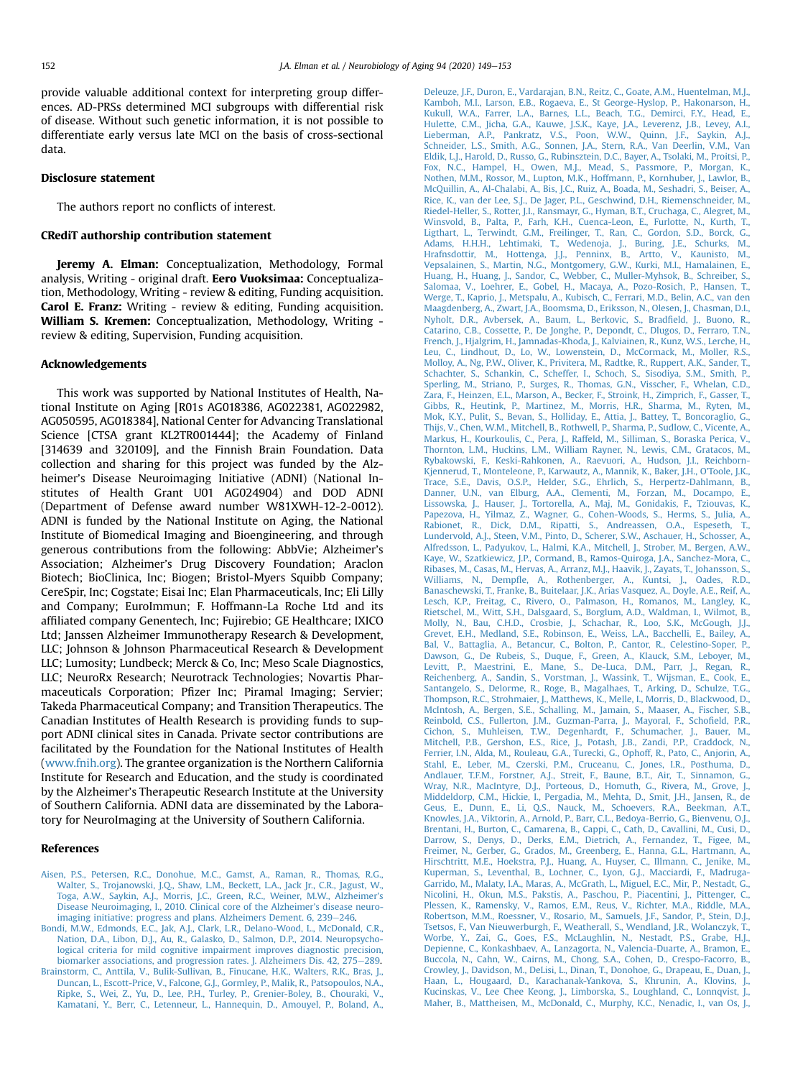provide valuable additional context for interpreting group differences. AD-PRSs determined MCI subgroups with differential risk of disease. Without such genetic information, it is not possible to differentiate early versus late MCI on the basis of cross-sectional data.

#### Disclosure statement

The authors report no conflicts of interest.

#### CRediT authorship contribution statement

Jeremy A. Elman: Conceptualization, Methodology, Formal analysis, Writing - original draft. Eero Vuoksimaa: Conceptualization, Methodology, Writing - review & editing, Funding acquisition. **Carol E. Franz:** Writing - review & editing, Funding acquisition. William S. Kremen: Conceptualization, Methodology, Writing review & editing, Supervision, Funding acquisition.

### Acknowledgements

This work was supported by National Institutes of Health, National Institute on Aging [R01s AG018386, AG022381, AG022982, AG050595, AG018384], National Center for Advancing Translational Science [CTSA grant KL2TR001444]; the Academy of Finland [314639 and 320109], and the Finnish Brain Foundation. Data collection and sharing for this project was funded by the Alzheimer's Disease Neuroimaging Initiative (ADNI) (National Institutes of Health Grant U01 AG024904) and DOD ADNI (Department of Defense award number W81XWH-12-2-0012). ADNI is funded by the National Institute on Aging, the National Institute of Biomedical Imaging and Bioengineering, and through generous contributions from the following: AbbVie; Alzheimer's Association; Alzheimer's Drug Discovery Foundation; Araclon Biotech; BioClinica, Inc; Biogen; Bristol-Myers Squibb Company; CereSpir, Inc; Cogstate; Eisai Inc; Elan Pharmaceuticals, Inc; Eli Lilly and Company; EuroImmun; F. Hoffmann-La Roche Ltd and its affiliated company Genentech, Inc; Fujirebio; GE Healthcare; IXICO Ltd; Janssen Alzheimer Immunotherapy Research & Development, LLC; Johnson & Johnson Pharmaceutical Research & Development LLC; Lumosity; Lundbeck; Merck & Co, Inc; Meso Scale Diagnostics, LLC; NeuroRx Research; Neurotrack Technologies; Novartis Pharmaceuticals Corporation; Pfizer Inc; Piramal Imaging; Servier; Takeda Pharmaceutical Company; and Transition Therapeutics. The Canadian Institutes of Health Research is providing funds to support ADNI clinical sites in Canada. Private sector contributions are facilitated by the Foundation for the National Institutes of Health [\(www.fnih.org](http://www.fnih.org)). The grantee organization is the Northern California Institute for Research and Education, and the study is coordinated by the Alzheimer's Therapeutic Research Institute at the University of Southern California. ADNI data are disseminated by the Laboratory for NeuroImaging at the University of Southern California.

#### References

- <span id="page-3-0"></span>[Aisen, P.S., Petersen, R.C., Donohue, M.C., Gamst, A., Raman, R., Thomas, R.G.,](http://refhub.elsevier.com/S0197-4580(20)30184-6/sref1) [Walter, S., Trojanowski, J.Q., Shaw, L.M., Beckett, L.A., Jack Jr., C.R., Jagust, W.,](http://refhub.elsevier.com/S0197-4580(20)30184-6/sref1) [Toga, A.W., Saykin, A.J., Morris, J.C., Green, R.C., Weiner, M.W., Alzheimer's](http://refhub.elsevier.com/S0197-4580(20)30184-6/sref1) [Disease Neuroimaging, I., 2010. Clinical core of the Alzheimer](http://refhub.elsevier.com/S0197-4580(20)30184-6/sref1)'s disease neuro[imaging initiative: progress and plans. Alzheimers Dement. 6, 239](http://refhub.elsevier.com/S0197-4580(20)30184-6/sref1)–[246.](http://refhub.elsevier.com/S0197-4580(20)30184-6/sref1)
- <span id="page-3-1"></span>[Bondi, M.W., Edmonds, E.C., Jak, A.J., Clark, L.R., Delano-Wood, L., McDonald, C.R.,](http://refhub.elsevier.com/S0197-4580(20)30184-6/sref2) [Nation, D.A., Libon, D.J., Au, R., Galasko, D., Salmon, D.P., 2014. Neuropsycho](http://refhub.elsevier.com/S0197-4580(20)30184-6/sref2)[logical criteria for mild cognitive impairment improves diagnostic precision,](http://refhub.elsevier.com/S0197-4580(20)30184-6/sref2) [biomarker associations, and progression rates. J. Alzheimers Dis. 42, 275](http://refhub.elsevier.com/S0197-4580(20)30184-6/sref2)–[289](http://refhub.elsevier.com/S0197-4580(20)30184-6/sref2).
- <span id="page-3-2"></span>[Brainstorm, C., Anttila, V., Bulik-Sullivan, B., Finucane, H.K., Walters, R.K., Bras, J.,](http://refhub.elsevier.com/S0197-4580(20)30184-6/sref3) [Duncan, L., Escott-Price, V., Falcone, G.J., Gormley, P., Malik, R., Patsopoulos, N.A.,](http://refhub.elsevier.com/S0197-4580(20)30184-6/sref3) [Ripke, S., Wei, Z., Yu, D., Lee, P.H., Turley, P., Grenier-Boley, B., Chouraki, V.,](http://refhub.elsevier.com/S0197-4580(20)30184-6/sref3) [Kamatani, Y., Berr, C., Letenneur, L., Hannequin, D., Amouyel, P., Boland, A.,](http://refhub.elsevier.com/S0197-4580(20)30184-6/sref3)

[Deleuze, J.F., Duron, E., Vardarajan, B.N., Reitz, C., Goate, A.M., Huentelman, M.J.,](http://refhub.elsevier.com/S0197-4580(20)30184-6/sref3) [Kamboh, M.I., Larson, E.B., Rogaeva, E., St George-Hyslop, P., Hakonarson, H.,](http://refhub.elsevier.com/S0197-4580(20)30184-6/sref3) [Kukull, W.A., Farrer, L.A., Barnes, L.L., Beach, T.G., Demirci, F.Y., Head, E.,](http://refhub.elsevier.com/S0197-4580(20)30184-6/sref3) [Hulette, C.M., Jicha, G.A., Kauwe, J.S.K., Kaye, J.A., Leverenz, J.B., Levey, A.I.,](http://refhub.elsevier.com/S0197-4580(20)30184-6/sref3) Lieberman, A.P., Pankratz, V.S., Poon, W.W., Quinn, J.F., Saykin, [Schneider, L.S., Smith, A.G., Sonnen, J.A., Stern, R.A., Van Deerlin, V.M., Van](http://refhub.elsevier.com/S0197-4580(20)30184-6/sref3) [Eldik, L.J., Harold, D., Russo, G., Rubinsztein, D.C., Bayer, A., Tsolaki, M., Proitsi, P.,](http://refhub.elsevier.com/S0197-4580(20)30184-6/sref3) [Fox, N.C., Hampel, H., Owen, M.J., Mead, S., Passmore, P., Morgan, K.,](http://refhub.elsevier.com/S0197-4580(20)30184-6/sref3) [Nothen, M.M., Rossor, M., Lupton, M.K., Hoffmann, P., Kornhuber, J., Lawlor, B.,](http://refhub.elsevier.com/S0197-4580(20)30184-6/sref3) [McQuillin, A., Al-Chalabi, A., Bis, J.C., Ruiz, A., Boada, M., Seshadri, S., Beiser, A.,](http://refhub.elsevier.com/S0197-4580(20)30184-6/sref3) [Rice, K., van der Lee, S.J., De Jager, P.L., Geschwind, D.H., Riemenschneider, M.,](http://refhub.elsevier.com/S0197-4580(20)30184-6/sref3) [Riedel-Heller, S., Rotter, J.I., Ransmayr, G., Hyman, B.T., Cruchaga, C., Alegret, M.,](http://refhub.elsevier.com/S0197-4580(20)30184-6/sref3) [Winsvold, B., Palta, P., Farh, K.H., Cuenca-Leon, E., Furlotte, N., Kurth, T.,](http://refhub.elsevier.com/S0197-4580(20)30184-6/sref3) [Ligthart, L., Terwindt, G.M., Freilinger, T., Ran, C., Gordon, S.D., Borck, G.,](http://refhub.elsevier.com/S0197-4580(20)30184-6/sref3) [Adams, H.H.H., Lehtimaki, T., Wedenoja, J., Buring, J.E., Schurks, M.,](http://refhub.elsevier.com/S0197-4580(20)30184-6/sref3) [Hrafnsdottir, M., Hottenga, J.J., Penninx, B., Artto, V., Kaunisto, M.,](http://refhub.elsevier.com/S0197-4580(20)30184-6/sref3) [Vepsalainen, S., Martin, N.G., Montgomery, G.W., Kurki, M.I., Hamalainen, E.,](http://refhub.elsevier.com/S0197-4580(20)30184-6/sref3) [Huang, H., Huang, J., Sandor, C., Webber, C., Muller-Myhsok, B., Schreiber, S.,](http://refhub.elsevier.com/S0197-4580(20)30184-6/sref3) [Salomaa, V., Loehrer, E., Gobel, H., Macaya, A., Pozo-Rosich, P., Hansen, T.,](http://refhub.elsevier.com/S0197-4580(20)30184-6/sref3) [Werge, T., Kaprio, J., Metspalu, A., Kubisch, C., Ferrari, M.D., Belin, A.C., van den](http://refhub.elsevier.com/S0197-4580(20)30184-6/sref3) [Maagdenberg, A., Zwart, J.A., Boomsma, D., Eriksson, N., Olesen, J., Chasman, D.I.,](http://refhub.elsevier.com/S0197-4580(20)30184-6/sref3) [Nyholt, D.R., Avbersek, A., Baum, L., Berkovic, S., Brad](http://refhub.elsevier.com/S0197-4580(20)30184-6/sref3)field, J., Buono, R., [Catarino, C.B., Cossette, P., De Jonghe, P., Depondt, C., Dlugos, D., Ferraro, T.N.,](http://refhub.elsevier.com/S0197-4580(20)30184-6/sref3) [French, J., Hjalgrim, H., Jamnadas-Khoda, J., Kalviainen, R., Kunz, W.S., Lerche, H.,](http://refhub.elsevier.com/S0197-4580(20)30184-6/sref3) [Leu, C., Lindhout, D., Lo, W., Lowenstein, D., McCormack, M., Moller, R.S.,](http://refhub.elsevier.com/S0197-4580(20)30184-6/sref3) [Molloy, A., Ng, P.W., Oliver, K., Privitera, M., Radtke, R., Ruppert, A.K., Sander, T.,](http://refhub.elsevier.com/S0197-4580(20)30184-6/sref3) [Schachter, S., Schankin, C., Scheffer, I., Schoch, S., Sisodiya, S.M., Smith, P.,](http://refhub.elsevier.com/S0197-4580(20)30184-6/sref3) [Sperling, M., Striano, P., Surges, R., Thomas, G.N., Visscher, F., Whelan, C.D.,](http://refhub.elsevier.com/S0197-4580(20)30184-6/sref3) [Zara, F., Heinzen, E.L., Marson, A., Becker, F., Stroink, H., Zimprich, F., Gasser, T.,](http://refhub.elsevier.com/S0197-4580(20)30184-6/sref3) [Gibbs, R., Heutink, P., Martinez, M., Morris, H.R., Sharma, M., Ryten, M.,](http://refhub.elsevier.com/S0197-4580(20)30184-6/sref3) [Mok, K.Y., Pulit, S., Bevan, S., Holliday, E., Attia, J., Battey, T., Boncoraglio, G.,](http://refhub.elsevier.com/S0197-4580(20)30184-6/sref3) [Thijs, V., Chen, W.M., Mitchell, B., Rothwell, P., Sharma, P., Sudlow, C., Vicente, A.,](http://refhub.elsevier.com/S0197-4580(20)30184-6/sref3) [Markus, H., Kourkoulis, C., Pera, J., Raffeld, M., Silliman, S., Boraska Perica, V.,](http://refhub.elsevier.com/S0197-4580(20)30184-6/sref3) [Thornton, L.M., Huckins, L.M., William Rayner, N., Lewis, C.M., Gratacos, M.,](http://refhub.elsevier.com/S0197-4580(20)30184-6/sref3) [Rybakowski, F., Keski-Rahkonen, A., Raevuori, A., Hudson, J.I., Reichborn-](http://refhub.elsevier.com/S0197-4580(20)30184-6/sref3)[Kjennerud, T., Monteleone, P., Karwautz, A., Mannik, K., Baker, J.H., O'Toole, J.K.,](http://refhub.elsevier.com/S0197-4580(20)30184-6/sref3) [Trace, S.E., Davis, O.S.P., Helder, S.G., Ehrlich, S., Herpertz-Dahlmann, B.,](http://refhub.elsevier.com/S0197-4580(20)30184-6/sref3) [Danner, U.N., van Elburg, A.A., Clementi, M., Forzan, M., Docampo, E.,](http://refhub.elsevier.com/S0197-4580(20)30184-6/sref3) [Lissowska, J., Hauser, J., Tortorella, A., Maj, M., Gonidakis, F., Tziouvas, K.,](http://refhub.elsevier.com/S0197-4580(20)30184-6/sref3) [Papezova, H., Yilmaz, Z., Wagner, G., Cohen-Woods, S., Herms, S., Julia, A.,](http://refhub.elsevier.com/S0197-4580(20)30184-6/sref3) [Rabionet, R., Dick, D.M., Ripatti, S., Andreassen, O.A., Espeseth, T.,](http://refhub.elsevier.com/S0197-4580(20)30184-6/sref3) [Lundervold, A.J., Steen, V.M., Pinto, D., Scherer, S.W., Aschauer, H., Schosser, A.,](http://refhub.elsevier.com/S0197-4580(20)30184-6/sref3) [Alfredsson, L., Padyukov, L., Halmi, K.A., Mitchell, J., Strober, M., Bergen, A.W.,](http://refhub.elsevier.com/S0197-4580(20)30184-6/sref3) [Kaye, W., Szatkiewicz, J.P., Cormand, B., Ramos-Quiroga, J.A., Sanchez-Mora, C.,](http://refhub.elsevier.com/S0197-4580(20)30184-6/sref3) [Ribases, M., Casas, M., Hervas, A., Arranz, M.J., Haavik, J., Zayats, T., Johansson, S.,](http://refhub.elsevier.com/S0197-4580(20)30184-6/sref3) Williams, N., Dempfl[e, A., Rothenberger, A., Kuntsi, J., Oades, R.D.,](http://refhub.elsevier.com/S0197-4580(20)30184-6/sref3) [Banaschewski, T., Franke, B., Buitelaar, J.K., Arias Vasquez, A., Doyle, A.E., Reif, A.,](http://refhub.elsevier.com/S0197-4580(20)30184-6/sref3) [Lesch, K.P., Freitag, C., Rivero, O., Palmason, H., Romanos, M., Langley, K.,](http://refhub.elsevier.com/S0197-4580(20)30184-6/sref3) [Rietschel, M., Witt, S.H., Dalsgaard, S., Borglum, A.D., Waldman, I., Wilmot, B.,](http://refhub.elsevier.com/S0197-4580(20)30184-6/sref3) [Molly, N., Bau, C.H.D., Crosbie, J., Schachar, R., Loo, S.K., McGough, J.J.,](http://refhub.elsevier.com/S0197-4580(20)30184-6/sref3) [Grevet, E.H., Medland, S.E., Robinson, E., Weiss, L.A., Bacchelli, E., Bailey, A.,](http://refhub.elsevier.com/S0197-4580(20)30184-6/sref3) [Bal, V., Battaglia, A., Betancur, C., Bolton, P., Cantor, R., Celestino-Soper, P.,](http://refhub.elsevier.com/S0197-4580(20)30184-6/sref3) [Dawson, G., De Rubeis, S., Duque, F., Green, A., Klauck, S.M., Leboyer, M.,](http://refhub.elsevier.com/S0197-4580(20)30184-6/sref3) [Levitt, P., Maestrini, E., Mane, S., De-Luca, D.M., Parr, J., Regan, R.,](http://refhub.elsevier.com/S0197-4580(20)30184-6/sref3) [Reichenberg, A., Sandin, S., Vorstman, J., Wassink, T., Wijsman, E., Cook, E.,](http://refhub.elsevier.com/S0197-4580(20)30184-6/sref3) [Santangelo, S., Delorme, R., Roge, B., Magalhaes, T., Arking, D., Schulze, T.G.,](http://refhub.elsevier.com/S0197-4580(20)30184-6/sref3) [Thompson, R.C., Strohmaier, J., Matthews, K., Melle, I., Morris, D., Blackwood, D.,](http://refhub.elsevier.com/S0197-4580(20)30184-6/sref3) [McIntosh, A., Bergen, S.E., Schalling, M., Jamain, S., Maaser, A., Fischer, S.B.,](http://refhub.elsevier.com/S0197-4580(20)30184-6/sref3) [Reinbold, C.S., Fullerton, J.M., Guzman-Parra, J., Mayoral, F., Scho](http://refhub.elsevier.com/S0197-4580(20)30184-6/sref3)field, P.R., [Cichon, S., Muhleisen, T.W., Degenhardt, F., Schumacher, J., Bauer, M.,](http://refhub.elsevier.com/S0197-4580(20)30184-6/sref3) [Mitchell, P.B., Gershon, E.S., Rice, J., Potash, J.B., Zandi, P.P., Craddock, N.,](http://refhub.elsevier.com/S0197-4580(20)30184-6/sref3) [Ferrier, I.N., Alda, M., Rouleau, G.A., Turecki, G., Ophoff, R., Pato, C., Anjorin, A.,](http://refhub.elsevier.com/S0197-4580(20)30184-6/sref3) [Stahl, E., Leber, M., Czerski, P.M., Cruceanu, C., Jones, I.R., Posthuma, D.,](http://refhub.elsevier.com/S0197-4580(20)30184-6/sref3) [Andlauer, T.F.M., Forstner, A.J., Streit, F., Baune, B.T., Air, T., Sinnamon, G.,](http://refhub.elsevier.com/S0197-4580(20)30184-6/sref3) [Wray, N.R., MacIntyre, D.J., Porteous, D., Homuth, G., Rivera, M., Grove, J.,](http://refhub.elsevier.com/S0197-4580(20)30184-6/sref3) Middeldorp, C.M., Hickie, I., Pergadia, M., Mehta, D., Smit, J.H., Jansen, R., [Geus, E., Dunn, E., Li, Q.S., Nauck, M., Schoevers, R.A., Beekman, A.T.,](http://refhub.elsevier.com/S0197-4580(20)30184-6/sref3) [Knowles, J.A., Viktorin, A., Arnold, P., Barr, C.L., Bedoya-Berrio, G., Bienvenu, O.J.,](http://refhub.elsevier.com/S0197-4580(20)30184-6/sref3) [Brentani, H., Burton, C., Camarena, B., Cappi, C., Cath, D., Cavallini, M., Cusi, D.,](http://refhub.elsevier.com/S0197-4580(20)30184-6/sref3) [Darrow, S., Denys, D., Derks, E.M., Dietrich, A., Fernandez, T., Figee, M.,](http://refhub.elsevier.com/S0197-4580(20)30184-6/sref3) [Freimer, N., Gerber, G., Grados, M., Greenberg, E., Hanna, G.L., Hartmann, A.,](http://refhub.elsevier.com/S0197-4580(20)30184-6/sref3) [Hirschtritt, M.E., Hoekstra, P.J., Huang, A., Huyser, C., Illmann, C., Jenike, M.,](http://refhub.elsevier.com/S0197-4580(20)30184-6/sref3) [Kuperman, S., Leventhal, B., Lochner, C., Lyon, G.J., Macciardi, F., Madruga-](http://refhub.elsevier.com/S0197-4580(20)30184-6/sref3)[Garrido, M., Malaty, I.A., Maras, A., McGrath, L., Miguel, E.C., Mir, P., Nestadt, G.,](http://refhub.elsevier.com/S0197-4580(20)30184-6/sref3) [Nicolini, H., Okun, M.S., Pakstis, A., Paschou, P., Piacentini, J., Pittenger, C.,](http://refhub.elsevier.com/S0197-4580(20)30184-6/sref3) [Plessen, K., Ramensky, V., Ramos, E.M., Reus, V., Richter, M.A., Riddle, M.A.,](http://refhub.elsevier.com/S0197-4580(20)30184-6/sref3) [Robertson, M.M., Roessner, V., Rosario, M., Samuels, J.F., Sandor, P., Stein, D.J.,](http://refhub.elsevier.com/S0197-4580(20)30184-6/sref3) [Tsetsos, F., Van Nieuwerburgh, F., Weatherall, S., Wendland, J.R., Wolanczyk, T.,](http://refhub.elsevier.com/S0197-4580(20)30184-6/sref3) [Worbe, Y., Zai, G., Goes, F.S., McLaughlin, N., Nestadt, P.S., Grabe, H.J.,](http://refhub.elsevier.com/S0197-4580(20)30184-6/sref3) [Depienne, C., Konkashbaev, A., Lanzagorta, N., Valencia-Duarte, A., Bramon, E.,](http://refhub.elsevier.com/S0197-4580(20)30184-6/sref3) [Buccola, N., Cahn, W., Cairns, M., Chong, S.A., Cohen, D., Crespo-Facorro, B.,](http://refhub.elsevier.com/S0197-4580(20)30184-6/sref3) [Crowley, J., Davidson, M., DeLisi, L., Dinan, T., Donohoe, G., Drapeau, E., Duan, J.,](http://refhub.elsevier.com/S0197-4580(20)30184-6/sref3) [Haan, L., Hougaard, D., Karachanak-Yankova, S., Khrunin, A., Klovins, J.,](http://refhub.elsevier.com/S0197-4580(20)30184-6/sref3) [Kucinskas, V., Lee Chee Keong, J., Limborska, S., Loughland, C., Lonnqvist, J.,](http://refhub.elsevier.com/S0197-4580(20)30184-6/sref3) [Maher, B., Mattheisen, M., McDonald, C., Murphy, K.C., Nenadic, I., van Os, J.,](http://refhub.elsevier.com/S0197-4580(20)30184-6/sref3)